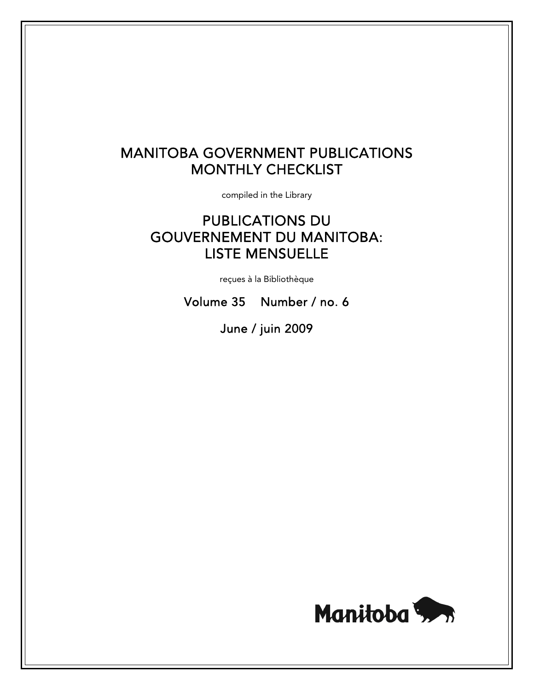# MANITOBA GOVERNMENT PUBLICATIONS MONTHLY CHECKLIST

compiled in the Library

# PUBLICATIONS DU GOUVERNEMENT DU MANITOBA: LISTE MENSUELLE

reçues à la Bibliothèque

Volume 35 Number / no. 6

June / juin 2009

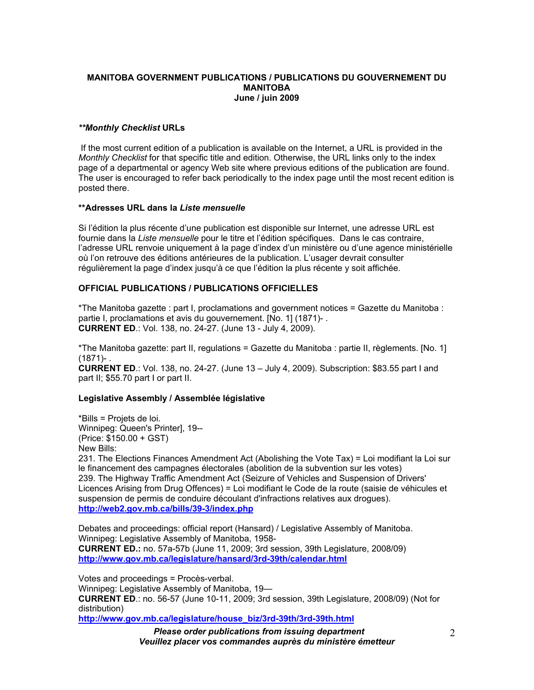#### **MANITOBA GOVERNMENT PUBLICATIONS / PUBLICATIONS DU GOUVERNEMENT DU MANITOBA June / juin 2009**

## *\*\*Monthly Checklist* **URLs**

 If the most current edition of a publication is available on the Internet, a URL is provided in the *Monthly Checklist* for that specific title and edition. Otherwise, the URL links only to the index page of a departmental or agency Web site where previous editions of the publication are found. The user is encouraged to refer back periodically to the index page until the most recent edition is posted there.

#### **\*\*Adresses URL dans la** *Liste mensuelle*

Si l'édition la plus récente d'une publication est disponible sur Internet, une adresse URL est fournie dans la *Liste mensuelle* pour le titre et l'édition spécifiques. Dans le cas contraire, l'adresse URL renvoie uniquement à la page d'index d'un ministère ou d'une agence ministérielle où l'on retrouve des éditions antérieures de la publication. L'usager devrait consulter régulièrement la page d'index jusqu'à ce que l'édition la plus récente y soit affichée.

# **OFFICIAL PUBLICATIONS / PUBLICATIONS OFFICIELLES**

\*The Manitoba gazette : part I, proclamations and government notices = Gazette du Manitoba : partie I, proclamations et avis du gouvernement. [No. 1] (1871)- . **CURRENT ED**.: Vol. 138, no. 24-27. (June 13 - July 4, 2009).

\*The Manitoba gazette: part II, regulations = Gazette du Manitoba : partie II, règlements. [No. 1] (1871)- .

**CURRENT ED**.: Vol. 138, no. 24-27. (June 13 – July 4, 2009). Subscription: \$83.55 part I and part II; \$55.70 part I or part II.

# **Legislative Assembly / Assemblée législative**

\*Bills = Projets de loi. Winnipeg: Queen's Printer], 19-- (Price: \$150.00 + GST) New Bills:

231. The Elections Finances Amendment Act (Abolishing the Vote Tax) = Loi modifiant la Loi sur le financement des campagnes électorales (abolition de la subvention sur les votes) 239. The Highway Traffic Amendment Act (Seizure of Vehicles and Suspension of Drivers' Licences Arising from Drug Offences) = Loi modifiant le Code de la route (saisie de véhicules et suspension de permis de conduire découlant d'infractions relatives aux drogues). **http://web2.gov.mb.ca/bills/39-3/index.php**

Debates and proceedings: official report (Hansard) / Legislative Assembly of Manitoba. Winnipeg: Legislative Assembly of Manitoba, 1958- **CURRENT ED.:** no. 57a-57b (June 11, 2009; 3rd session, 39th Legislature, 2008/09) **http://www.gov.mb.ca/legislature/hansard/3rd-39th/calendar.html**

Votes and proceedings = Procès-verbal. Winnipeg: Legislative Assembly of Manitoba, 19— **CURRENT ED**.: no. 56-57 (June 10-11, 2009; 3rd session, 39th Legislature, 2008/09) (Not for distribution) **http://www.gov.mb.ca/legislature/house\_biz/3rd-39th/3rd-39th.html**

*Please order publications from issuing department Veuillez placer vos commandes auprès du ministère émetteur*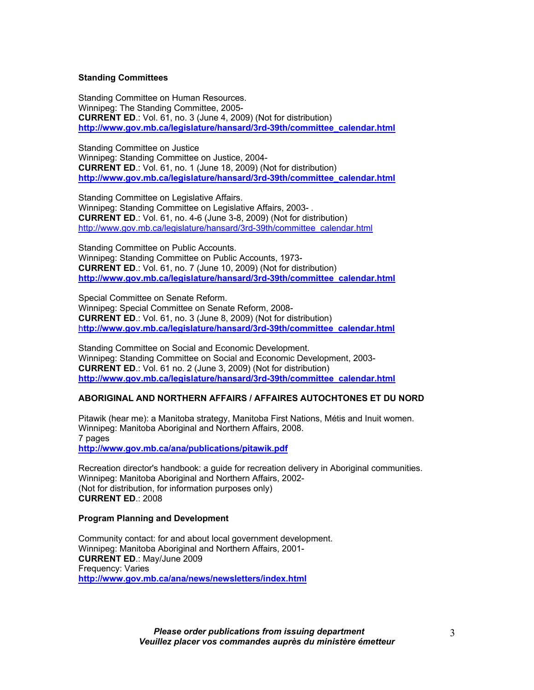#### **Standing Committees**

Standing Committee on Human Resources. Winnipeg: The Standing Committee, 2005- **CURRENT ED**.: Vol. 61, no. 3 (June 4, 2009) (Not for distribution) **http://www.gov.mb.ca/legislature/hansard/3rd-39th/committee\_calendar.html**

Standing Committee on Justice Winnipeg: Standing Committee on Justice, 2004- **CURRENT ED**.: Vol. 61, no. 1 (June 18, 2009) (Not for distribution) **http://www.gov.mb.ca/legislature/hansard/3rd-39th/committee\_calendar.html**

Standing Committee on Legislative Affairs. Winnipeg: Standing Committee on Legislative Affairs, 2003- . **CURRENT ED**.: Vol. 61, no. 4-6 (June 3-8, 2009) (Not for distribution) http://www.gov.mb.ca/legislature/hansard/3rd-39th/committee\_calendar.html

Standing Committee on Public Accounts. Winnipeg: Standing Committee on Public Accounts, 1973- **CURRENT ED**.: Vol. 61, no. 7 (June 10, 2009) (Not for distribution) **http://www.gov.mb.ca/legislature/hansard/3rd-39th/committee\_calendar.html**

Special Committee on Senate Reform. Winnipeg: Special Committee on Senate Reform, 2008- **CURRENT ED**.: Vol. 61, no. 3 (June 8, 2009) (Not for distribution) h**ttp://www.gov.mb.ca/legislature/hansard/3rd-39th/committee\_calendar.html**

Standing Committee on Social and Economic Development. Winnipeg: Standing Committee on Social and Economic Development, 2003- **CURRENT ED**.: Vol. 61 no. 2 (June 3, 2009) (Not for distribution) **http://www.gov.mb.ca/legislature/hansard/3rd-39th/committee\_calendar.html**

#### **ABORIGINAL AND NORTHERN AFFAIRS / AFFAIRES AUTOCHTONES ET DU NORD**

Pitawik (hear me): a Manitoba strategy, Manitoba First Nations, Métis and Inuit women. Winnipeg: Manitoba Aboriginal and Northern Affairs, 2008. 7 pages **http://www.gov.mb.ca/ana/publications/pitawik.pdf**

Recreation director's handbook: a guide for recreation delivery in Aboriginal communities. Winnipeg: Manitoba Aboriginal and Northern Affairs, 2002- (Not for distribution, for information purposes only) **CURRENT ED**.: 2008

#### **Program Planning and Development**

Community contact: for and about local government development. Winnipeg: Manitoba Aboriginal and Northern Affairs, 2001- **CURRENT ED**.: May/June 2009 Frequency: Varies **http://www.gov.mb.ca/ana/news/newsletters/index.html**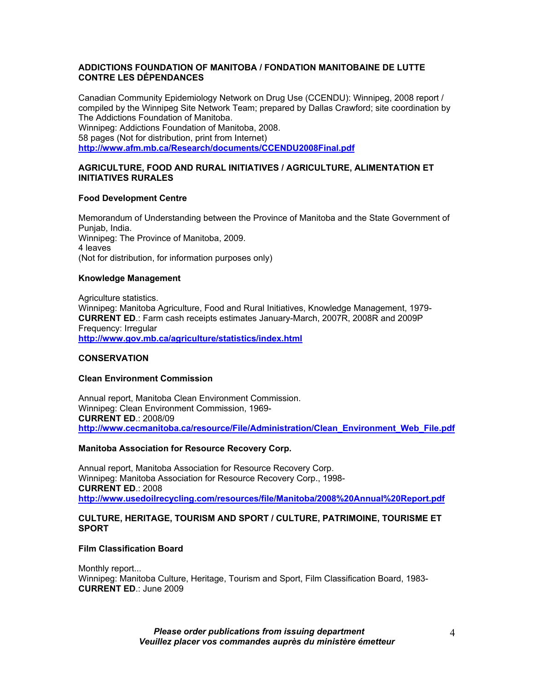## **ADDICTIONS FOUNDATION OF MANITOBA / FONDATION MANITOBAINE DE LUTTE CONTRE LES DÉPENDANCES**

Canadian Community Epidemiology Network on Drug Use (CCENDU): Winnipeg, 2008 report / compiled by the Winnipeg Site Network Team; prepared by Dallas Crawford; site coordination by The Addictions Foundation of Manitoba. Winnipeg: Addictions Foundation of Manitoba, 2008. 58 pages (Not for distribution, print from Internet) **http://www.afm.mb.ca/Research/documents/CCENDU2008Final.pdf**

# **AGRICULTURE, FOOD AND RURAL INITIATIVES / AGRICULTURE, ALIMENTATION ET INITIATIVES RURALES**

# **Food Development Centre**

Memorandum of Understanding between the Province of Manitoba and the State Government of Punjab, India. Winnipeg: The Province of Manitoba, 2009. 4 leaves (Not for distribution, for information purposes only)

## **Knowledge Management**

Agriculture statistics. Winnipeg: Manitoba Agriculture, Food and Rural Initiatives, Knowledge Management, 1979- **CURRENT ED**.: Farm cash receipts estimates January-March, 2007R, 2008R and 2009P Frequency: Irregular **http://www.gov.mb.ca/agriculture/statistics/index.html**

# **CONSERVATION**

## **Clean Environment Commission**

Annual report, Manitoba Clean Environment Commission. Winnipeg: Clean Environment Commission, 1969- **CURRENT ED**.: 2008/09 **http://www.cecmanitoba.ca/resource/File/Administration/Clean\_Environment\_Web\_File.pdf**

# **Manitoba Association for Resource Recovery Corp.**

Annual report, Manitoba Association for Resource Recovery Corp. Winnipeg: Manitoba Association for Resource Recovery Corp., 1998- **CURRENT ED**.: 2008 **http://www.usedoilrecycling.com/resources/file/Manitoba/2008%20Annual%20Report.pdf**

## **CULTURE, HERITAGE, TOURISM AND SPORT / CULTURE, PATRIMOINE, TOURISME ET SPORT**

#### **Film Classification Board**

Monthly report... Winnipeg: Manitoba Culture, Heritage, Tourism and Sport, Film Classification Board, 1983- **CURRENT ED**.: June 2009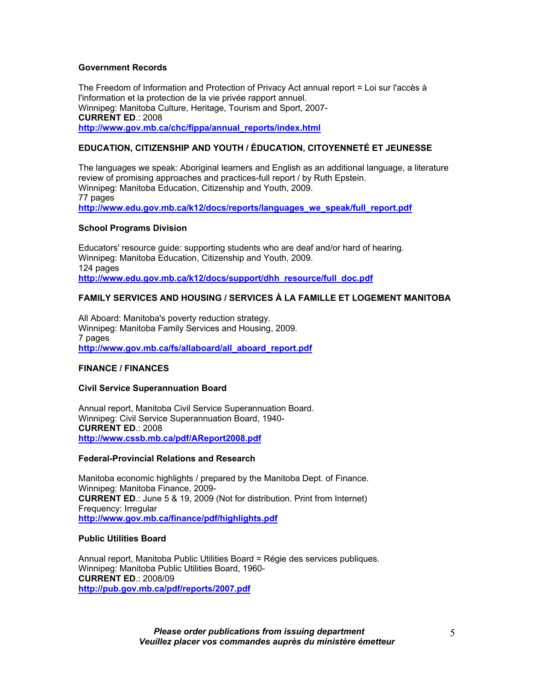## **Government Records**

The Freedom of Information and Protection of Privacy Act annual report = Loi sur l'accès à l'information et la protection de la vie privée rapport annuel. Winnipeg: Manitoba Culture, Heritage, Tourism and Sport, 2007- **CURRENT ED**.: 2008 **http://www.gov.mb.ca/chc/fippa/annual\_reports/index.html**

# **EDUCATION, CITIZENSHIP AND YOUTH / ÉDUCATION, CITOYENNETÉ ET JEUNESSE**

The languages we speak: Aboriginal learners and English as an additional language, a literature review of promising approaches and practices-full report / by Ruth Epstein. Winnipeg: Manitoba Education, Citizenship and Youth, 2009. 77 pages **http://www.edu.gov.mb.ca/k12/docs/reports/languages\_we\_speak/full\_report.pdf**

## **School Programs Division**

Educators' resource guide: supporting students who are deaf and/or hard of hearing. Winnipeg: Manitoba Education, Citizenship and Youth, 2009. 124 pages **http://www.edu.gov.mb.ca/k12/docs/support/dhh\_resource/full\_doc.pdf**

# **FAMILY SERVICES AND HOUSING / SERVICES À LA FAMILLE ET LOGEMENT MANITOBA**

All Aboard: Manitoba's poverty reduction strategy. Winnipeg: Manitoba Family Services and Housing, 2009. 7 pages **http://www.gov.mb.ca/fs/allaboard/all\_aboard\_report.pdf**

#### **FINANCE / FINANCES**

#### **Civil Service Superannuation Board**

Annual report, Manitoba Civil Service Superannuation Board. Winnipeg: Civil Service Superannuation Board, 1940- **CURRENT ED**.: 2008 **http://www.cssb.mb.ca/pdf/AReport2008.pdf**

#### **Federal-Provincial Relations and Research**

Manitoba economic highlights / prepared by the Manitoba Dept. of Finance. Winnipeg: Manitoba Finance, 2009- **CURRENT ED**.: June 5 & 19, 2009 (Not for distribution. Print from Internet) Frequency: Irregular **http://www.gov.mb.ca/finance/pdf/highlights.pdf**

#### **Public Utilities Board**

Annual report, Manitoba Public Utilities Board = Régie des services publiques. Winnipeg: Manitoba Public Utilities Board, 1960- **CURRENT ED**.: 2008/09 **http://pub.gov.mb.ca/pdf/reports/2007.pdf**

> *Please order publications from issuing department Veuillez placer vos commandes auprès du ministère émetteur*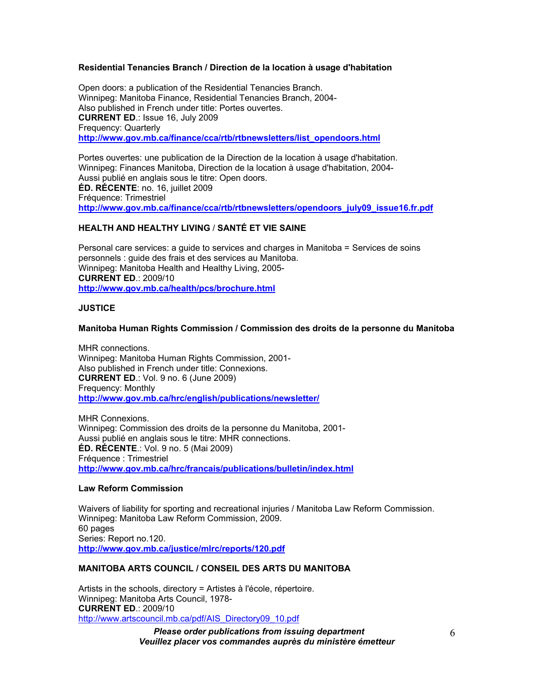# **Residential Tenancies Branch / Direction de la location à usage d'habitation**

Open doors: a publication of the Residential Tenancies Branch. Winnipeg: Manitoba Finance, Residential Tenancies Branch, 2004- Also published in French under title: Portes ouvertes. **CURRENT ED**.: Issue 16, July 2009 Frequency: Quarterly **http://www.gov.mb.ca/finance/cca/rtb/rtbnewsletters/list\_opendoors.html**

Portes ouvertes: une publication de la Direction de la location à usage d'habitation. Winnipeg: Finances Manitoba, Direction de la location à usage d'habitation, 2004- Aussi publié en anglais sous le titre: Open doors. **ÉD. RÉCENTE**: no. 16, juillet 2009 Fréquence: Trimestriel **http://www.gov.mb.ca/finance/cca/rtb/rtbnewsletters/opendoors\_july09\_issue16.fr.pdf** 

## **HEALTH AND HEALTHY LIVING** / **SANTÉ ET VIE SAINE**

Personal care services: a guide to services and charges in Manitoba = Services de soins personnels : guide des frais et des services au Manitoba. Winnipeg: Manitoba Health and Healthy Living, 2005- **CURRENT ED**.: 2009/10 **http://www.gov.mb.ca/health/pcs/brochure.html**

## **JUSTICE**

## **Manitoba Human Rights Commission / Commission des droits de la personne du Manitoba**

MHR connections. Winnipeg: Manitoba Human Rights Commission, 2001- Also published in French under title: Connexions. **CURRENT ED**.: Vol. 9 no. 6 (June 2009) Frequency: Monthly **http://www.gov.mb.ca/hrc/english/publications/newsletter/**

MHR Connexions. Winnipeg: Commission des droits de la personne du Manitoba, 2001- Aussi publié en anglais sous le titre: MHR connections. **ÉD. RÉCENTE**.: Vol. 9 no. 5 (Mai 2009) Fréquence : Trimestriel **http://www.gov.mb.ca/hrc/francais/publications/bulletin/index.html**

#### **Law Reform Commission**

Waivers of liability for sporting and recreational injuries / Manitoba Law Reform Commission. Winnipeg: Manitoba Law Reform Commission, 2009. 60 pages Series: Report no.120. **http://www.gov.mb.ca/justice/mlrc/reports/120.pdf**

# **MANITOBA ARTS COUNCIL / CONSEIL DES ARTS DU MANITOBA**

Artists in the schools, directory = Artistes à l'école, répertoire. Winnipeg: Manitoba Arts Council, 1978- **CURRENT ED**.: 2009/10 http://www.artscouncil.mb.ca/pdf/AIS\_Directory09\_10.pdf

> *Please order publications from issuing department Veuillez placer vos commandes auprès du ministère émetteur*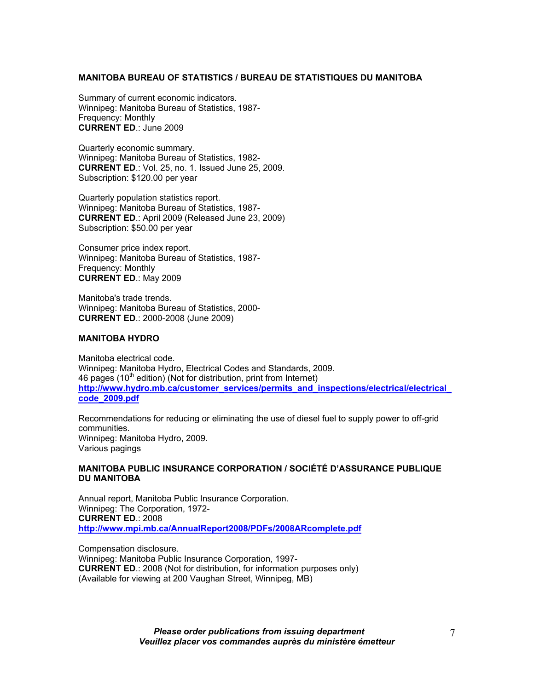#### **MANITOBA BUREAU OF STATISTICS / BUREAU DE STATISTIQUES DU MANITOBA**

Summary of current economic indicators. Winnipeg: Manitoba Bureau of Statistics, 1987- Frequency: Monthly **CURRENT ED**.: June 2009

Quarterly economic summary. Winnipeg: Manitoba Bureau of Statistics, 1982- **CURRENT ED**.: Vol. 25, no. 1. Issued June 25, 2009. Subscription: \$120.00 per year

Quarterly population statistics report. Winnipeg: Manitoba Bureau of Statistics, 1987- **CURRENT ED**.: April 2009 (Released June 23, 2009) Subscription: \$50.00 per year

Consumer price index report. Winnipeg: Manitoba Bureau of Statistics, 1987- Frequency: Monthly **CURRENT ED**.: May 2009

Manitoba's trade trends. Winnipeg: Manitoba Bureau of Statistics, 2000- **CURRENT ED**.: 2000-2008 (June 2009)

#### **MANITOBA HYDRO**

Manitoba electrical code. Winnipeg: Manitoba Hydro, Electrical Codes and Standards, 2009. 46 pages (10<sup>th</sup> edition) (Not for distribution, print from Internet) **http://www.hydro.mb.ca/customer\_services/permits\_and\_inspections/electrical/electrical\_ code\_2009.pdf**

Recommendations for reducing or eliminating the use of diesel fuel to supply power to off-grid communities. Winnipeg: Manitoba Hydro, 2009. Various pagings

#### **MANITOBA PUBLIC INSURANCE CORPORATION / SOCIÉTÉ D'ASSURANCE PUBLIQUE DU MANITOBA**

Annual report, Manitoba Public Insurance Corporation. Winnipeg: The Corporation, 1972- **CURRENT ED**.: 2008 **http://www.mpi.mb.ca/AnnualReport2008/PDFs/2008ARcomplete.pdf**

Compensation disclosure. Winnipeg: Manitoba Public Insurance Corporation, 1997- **CURRENT ED**.: 2008 (Not for distribution, for information purposes only) (Available for viewing at 200 Vaughan Street, Winnipeg, MB)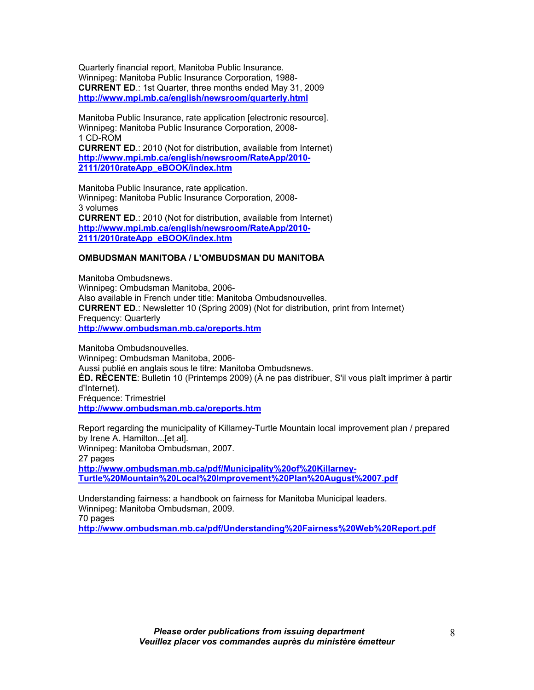Quarterly financial report, Manitoba Public Insurance. Winnipeg: Manitoba Public Insurance Corporation, 1988- **CURRENT ED**.: 1st Quarter, three months ended May 31, 2009 **http://www.mpi.mb.ca/english/newsroom/quarterly.html**

Manitoba Public Insurance, rate application [electronic resource]. Winnipeg: Manitoba Public Insurance Corporation, 2008- 1 CD-ROM **CURRENT ED**.: 2010 (Not for distribution, available from Internet) **http://www.mpi.mb.ca/english/newsroom/RateApp/2010- 2111/2010rateApp\_eBOOK/index.htm**

Manitoba Public Insurance, rate application. Winnipeg: Manitoba Public Insurance Corporation, 2008- 3 volumes **CURRENT ED**.: 2010 (Not for distribution, available from Internet) **http://www.mpi.mb.ca/english/newsroom/RateApp/2010- 2111/2010rateApp\_eBOOK/index.htm**

## **OMBUDSMAN MANITOBA / L'OMBUDSMAN DU MANITOBA**

Manitoba Ombudsnews. Winnipeg: Ombudsman Manitoba, 2006- Also available in French under title: Manitoba Ombudsnouvelles. **CURRENT ED**.: Newsletter 10 (Spring 2009) (Not for distribution, print from Internet) Frequency: Quarterly **http://www.ombudsman.mb.ca/oreports.htm**

Manitoba Ombudsnouvelles. Winnipeg: Ombudsman Manitoba, 2006- Aussi publié en anglais sous le titre: Manitoba Ombudsnews. **ÉD. RÉCENTE**: Bulletin 10 (Printemps 2009) (À ne pas distribuer, S'il vous plaît imprimer à partir d'Internet). Fréquence: Trimestriel **http://www.ombudsman.mb.ca/oreports.htm**

Report regarding the municipality of Killarney-Turtle Mountain local improvement plan / prepared by Irene A. Hamilton...[et al]. Winnipeg: Manitoba Ombudsman, 2007. 27 pages **http://www.ombudsman.mb.ca/pdf/Municipality%20of%20Killarney-Turtle%20Mountain%20Local%20Improvement%20Plan%20August%2007.pdf** 

Understanding fairness: a handbook on fairness for Manitoba Municipal leaders. Winnipeg: Manitoba Ombudsman, 2009. 70 pages **http://www.ombudsman.mb.ca/pdf/Understanding%20Fairness%20Web%20Report.pdf**